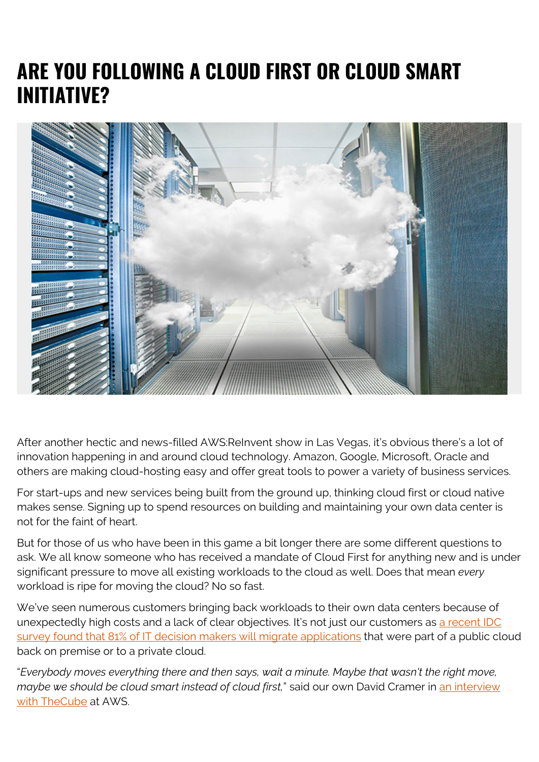## **ARE YOU FOLLOWING A CLOUD FIRST OR CLOUD SMART INITIATIVE?**



After another hectic and news-filled AWS:ReInvent show in Las Vegas, it's obvious there's a lot of innovation happening in and around cloud technology. Amazon, Google, Microsoft, Oracle and others are making cloud-hosting easy and offer great tools to power a variety of business services.

For start-ups and new services being built from the ground up, thinking cloud first or cloud native makes sense. Signing up to spend resources on building and maintaining your own data center is not for the faint of heart.

But for those of us who have been in this game a bit longer there are some different questions to ask. We all know someone who has received a mandate of Cloud First for anything new and is under significant pressure to move all existing workloads to the cloud as well. Does that mean *every* workload is ripe for moving the cloud? No so fast.

We've seen numerous customers bringing back workloads to their own data centers because of unexpectedly high costs and a lack of clear objectives. It's not just our customers as [a recent IDC](https://diginomica.com/2018/09/20/cloud-repatriation-the-latest-push-back-to-public-cloud-is-analyst-vaporware/) [survey found that 81% of IT decision makers will migrate applications](https://diginomica.com/2018/09/20/cloud-repatriation-the-latest-push-back-to-public-cloud-is-analyst-vaporware/) that were part of a public cloud back on premise or to a private cloud.

"*Everybody moves everything there and then says, wait a minute. Maybe that wasn't the right move, maybe we should be cloud smart instead of cloud first*," said our own David Cramer in [an interview](https://youtu.be/CZocYefVBL0) [with TheCube](https://youtu.be/CZocYefVBL0) at AWS.